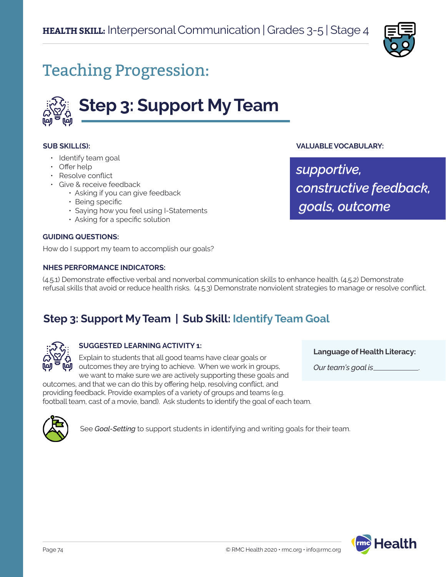

# Teaching Progression:



#### **SUB SKILL(S):**

- Identify team goal
- Offer help
- Resolve conflict
- Give & receive feedback
	- Asking if you can give feedback
	- Being specific
	- Saying how you feel using I-Statements
	- Asking for a specific solution

#### **GUIDING QUESTIONS:**

How do I support my team to accomplish our goals?

#### **NHES PERFORMANCE INDICATORS:**

#### **VALUABLE VOCABULARY:**

*supportive, constructive feedback, goals, outcome*

**Language of Health Literacy:**

*Our team's goal is* .

(4.5.1) Demonstrate effective verbal and nonverbal communication skills to enhance health. (4.5.2) Demonstrate refusal skills that avoid or reduce health risks. (4.5.3) Demonstrate nonviolent strategies to manage or resolve conflict.

### **Step 3: Support My Team | Sub Skill: Identify Team Goal**



#### **SUGGESTED LEARNING ACTIVITY 1:**

Explain to students that all good teams have clear goals or outcomes they are trying to achieve. When we work in groups, we want to make sure we are actively supporting these goals and

outcomes, and that we can do this by offering help, resolving conflict, and providing feedback. Provide examples of a variety of groups and teams (e.g. football team, cast of a movie, band). Ask students to identify the goal of each team.



See *Goal-Setting* to support students in identifying and writing goals for their team.

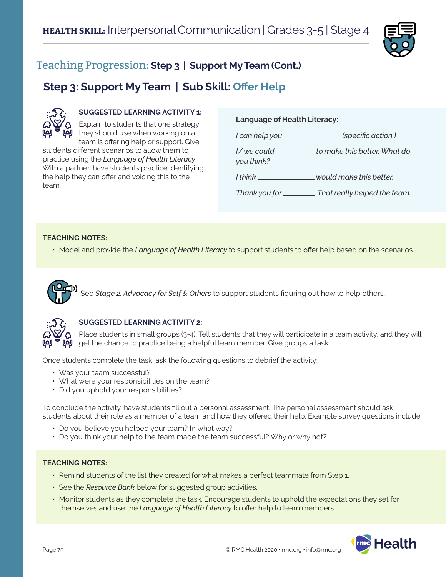

### Teaching Progression: **Step 3 | Support My Team (Cont.)**

### **Step 3: Support My Team | Sub Skill: Offer Help**



#### **SUGGESTED LEARNING ACTIVITY 1:**

Explain to students that one strategy  $\mathbf{\dot{y}}$  they should use when working on a team is offering help or support. Give

students different scenarios to allow them to practice using the *Language of Health Literacy*. With a partner, have students practice identifying the help they can offer and voicing this to the team.

#### **Language of Health Literacy:**

*I can help you (specific action.) I/ we could to make this better. What do you think? I think would make this better. Thank you for* . *That really helped the team.*

#### **TEACHING NOTES:**

• Model and provide the *Language of Health Literacy* to support students to offer help based on the scenarios.



## See *Stage 2: Advocacy for Self & Others* to support students figuring out how to help others.



#### **SUGGESTED LEARNING ACTIVITY 2:**

Place students in small groups (3-4). Tell students that they will participate in a team activity, and they will get the chance to practice being a helpful team member. Give groups a task.

Once students complete the task, ask the following questions to debrief the activity:

- Was your team successful?
- What were your responsibilities on the team?
- Did you uphold your responsibilities?

To conclude the activity, have students fill out a personal assessment. The personal assessment should ask students about their role as a member of a team and how they offered their help. Example survey questions include:

- Do you believe you helped your team? In what way?
- Do you think your help to the team made the team successful? Why or why not?

#### **TEACHING NOTES:**

- Remind students of the list they created for what makes a perfect teammate from Step 1.
- See the *Resource Bank* below for suggested group activities.
- Monitor students as they complete the task. Encourage students to uphold the expectations they set for themselves and use the *Language of Health Literacy* to offer help to team members.

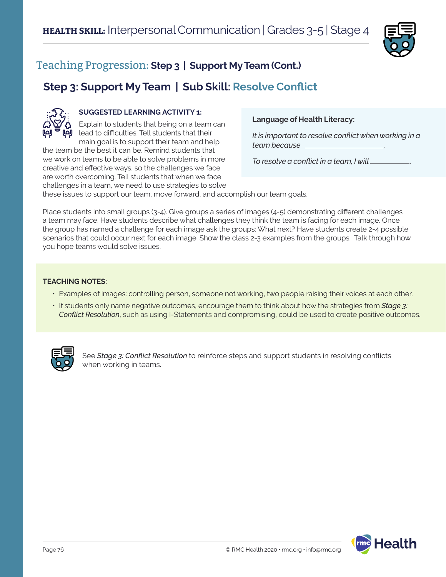

### Teaching Progression: **Step 3 | Support My Team (Cont.)**

### **Step 3: Support My Team | Sub Skill: Resolve Conflict**



#### **SUGGESTED LEARNING ACTIVITY 1:**

Explain to students that being on a team can lead to difficulties. Tell students that their main goal is to support their team and help the team be the best it can be. Remind students that

we work on teams to be able to solve problems in more creative and effective ways, so the challenges we face are worth overcoming. Tell students that when we face challenges in a team, we need to use strategies to solve

#### **Language of Health Literacy:**

*It is important to resolve conflict when working in a team because* .

*To resolve a conflict in a team, I will* .

these issues to support our team, move forward, and accomplish our team goals.

Place students into small groups (3-4). Give groups a series of images (4-5) demonstrating different challenges a team may face. Have students describe what challenges they think the team is facing for each image. Once the group has named a challenge for each image ask the groups: What next? Have students create 2-4 possible scenarios that could occur next for each image. Show the class 2-3 examples from the groups. Talk through how you hope teams would solve issues.

#### **TEACHING NOTES:**

- Examples of images: controlling person, someone not working, two people raising their voices at each other.
- If students only name negative outcomes, encourage them to think about how the strategies from *Stage 3: Conflict Resolution*, such as using I-Statements and compromising, could be used to create positive outcomes.



See *Stage 3: Conflict Resolution* to reinforce steps and support students in resolving conflicts when working in teams.